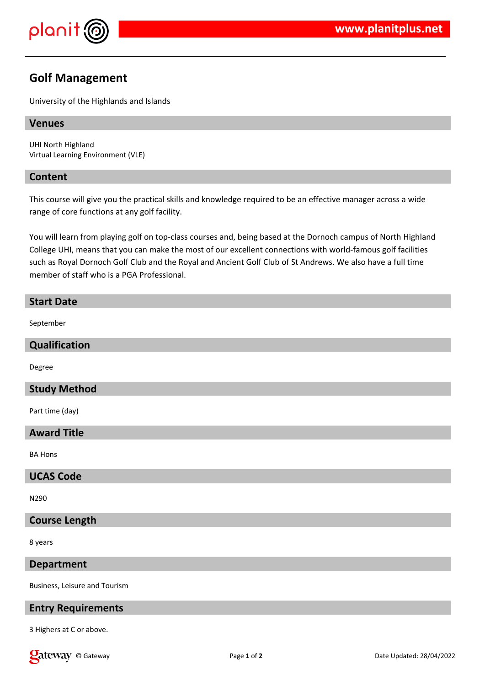

# **Golf Management**

University of the Highlands and Islands

## **Venues**

UHI North Highland Virtual Learning Environment (VLE)

## **Content**

This course will give you the practical skills and knowledge required to be an effective manager across a wide range of core functions at any golf facility.

You will learn from playing golf on top-class courses and, being based at the Dornoch campus of North Highland College UHI, means that you can make the most of our excellent connections with world-famous golf facilities such as Royal Dornoch Golf Club and the Royal and Ancient Golf Club of St Andrews. We also have a full time member of staff who is a PGA Professional.

## **Start Date**

September

## **Qualification**

Degree

# **Study Method**

Part time (day)

# **Award Title**

BA Hons

#### **UCAS Code**

N290

## **Course Length**

8 years

#### **Department**

Business, Leisure and Tourism

# **Entry Requirements**

3 Highers at C or above.

**Call Community** Called Gateway **Page 1** of **2 Called Base 1** of **2 Called Base 1 Date Updated: 28/04/2022 Date Updated: 28/04/2022**